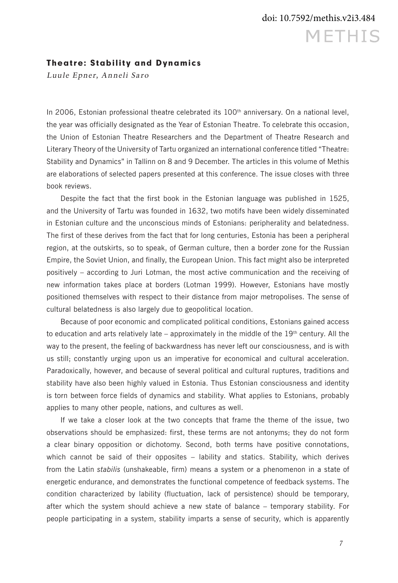#### Theatre: Stability and Dynamics

Luule Epner, Anneli Saro

In 2006, Estonian professional theatre celebrated its 100<sup>th</sup> anniversary. On a national level, the year was officially designated as the Year of Estonian Theatre. To celebrate this occasion, the Union of Estonian Theatre Researchers and the Department of Theatre Research and Literary Theory of the University of Tartu organized an international conference titled "Theatre: Stability and Dynamics" in Tallinn on 8 and 9 December. The articles in this volume of Methis are elaborations of selected papers presented at this conference. The issue closes with three book reviews.

Despite the fact that the first book in the Estonian language was published in 1525, and the University of Tartu was founded in 1632, two motifs have been widely disseminated in Estonian culture and the unconscious minds of Estonians: peripherality and belatedness. The first of these derives from the fact that for long centuries, Estonia has been a peripheral region, at the outskirts, so to speak, of German culture, then a border zone for the Russian Empire, the Soviet Union, and finally, the European Union. This fact might also be interpreted positively – according to Juri Lotman, the most active communication and the receiving of new information takes place at borders (Lotman 1999). However, Estonians have mostly positioned themselves with respect to their distance from major metropolises. The sense of cultural belatedness is also largely due to geopolitical location.

Because of poor economic and complicated political conditions, Estonians gained access to education and arts relatively late – approximately in the middle of the  $19<sup>th</sup>$  century. All the way to the present, the feeling of backwardness has never left our consciousness, and is with us still; constantly urging upon us an imperative for economical and cultural acceleration. Paradoxically, however, and because of several political and cultural ruptures, traditions and stability have also been highly valued in Estonia. Thus Estonian consciousness and identity is torn between force fields of dynamics and stability. What applies to Estonians, probably applies to many other people, nations, and cultures as well.

If we take a closer look at the two concepts that frame the theme of the issue, two observations should be emphasized: first, these terms are not antonyms; they do not form a clear binary opposition or dichotomy. Second, both terms have positive connotations, which cannot be said of their opposites – lability and statics. Stability, which derives from the Latin *stabilis* (unshakeable, firm) means a system or a phenomenon in a state of energetic endurance, and demonstrates the functional competence of feedback systems. The condition characterized by lability (fluctuation, lack of persistence) should be temporary, after which the system should achieve a new state of balance – temporary stability. For people participating in a system, stability imparts a sense of security, which is apparently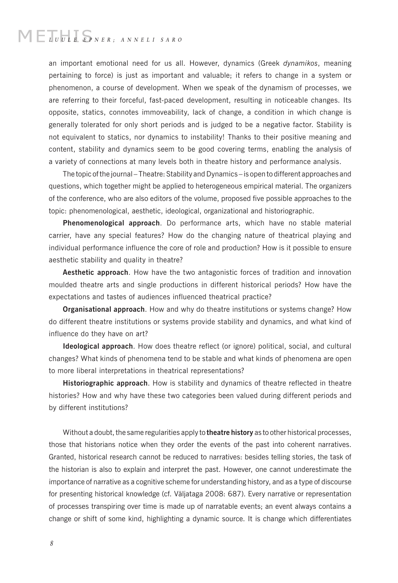# $\mathbb{M} \mathbb{E} \mathbb{T}_{\mathit{U}} \mathbb{E} \mathbb{E} \mathbb{E}_{\mathit{PNER} ; \; \; \mathit{ANNELI} \; \; \mathit{SARO}}$

an important emotional need for us all. However, dynamics (Greek *dynamikos*, meaning pertaining to force) is just as important and valuable; it refers to change in a system or phenomenon, a course of development. When we speak of the dynamism of processes, we are referring to their forceful, fast-paced development, resulting in noticeable changes. Its opposite, statics, connotes immoveability, lack of change, a condition in which change is generally tolerated for only short periods and is judged to be a negative factor. Stability is not equivalent to statics, nor dynamics to instability! Thanks to their positive meaning and content, stability and dynamics seem to be good covering terms, enabling the analysis of a variety of connections at many levels both in theatre history and performance analysis.

The topic of the journal – Theatre: Stability and Dynamics – is open to different approaches and questions, which together might be applied to heterogeneous empirical material. The organizers of the conference, who are also editors of the volume, proposed five possible approaches to the topic: phenomenological, aesthetic, ideological, organizational and historiographic.

**Phenomenological approach**. Do performance arts, which have no stable material carrier, have any special features? How do the changing nature of theatrical playing and individual performance influence the core of role and production? How is it possible to ensure aesthetic stability and quality in theatre?

**Aesthetic approach**. How have the two antagonistic forces of tradition and innovation moulded theatre arts and single productions in different historical periods? How have the expectations and tastes of audiences influenced theatrical practice?

**Organisational approach**. How and why do theatre institutions or systems change? How do different theatre institutions or systems provide stability and dynamics, and what kind of influence do they have on art?

**Ideological approach**. How does theatre reflect (or ignore) political, social, and cultural changes? What kinds of phenomena tend to be stable and what kinds of phenomena are open to more liberal interpretations in theatrical representations?

**Historiographic approach**. How is stability and dynamics of theatre reflected in theatre histories? How and why have these two categories been valued during different periods and by different institutions?

Without a doubt, the same regularities apply to **theatre history** as to other historical processes, those that historians notice when they order the events of the past into coherent narratives. Granted, historical research cannot be reduced to narratives: besides telling stories, the task of the historian is also to explain and interpret the past. However, one cannot underestimate the importance of narrative as a cognitive scheme for understanding history, and as a type of discourse for presenting historical knowledge (cf. Väljataga 2008: 687). Every narrative or representation of processes transpiring over time is made up of narratable events; an event always contains a change or shift of some kind, highlighting a dynamic source. It is change which differentiates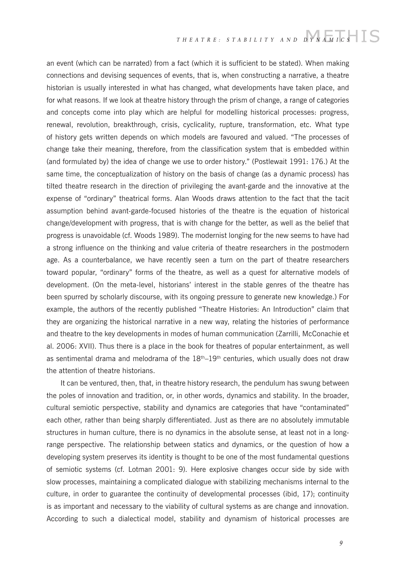### THEATRE: STABILITY AND DYNAMICS S

an event (which can be narrated) from a fact (which it is sufficient to be stated). When making connections and devising sequences of events, that is, when constructing a narrative, a theatre historian is usually interested in what has changed, what developments have taken place, and for what reasons. If we look at theatre history through the prism of change, a range of categories and concepts come into play which are helpful for modelling historical processes: progress, renewal, revolution, breakthrough, crisis, cyclicality, rupture, transformation, etc. What type of history gets written depends on which models are favoured and valued. "The processes of change take their meaning, therefore, from the classification system that is embedded within (and formulated by) the idea of change we use to order history." (Postlewait 1991: 176.) At the same time, the conceptualization of history on the basis of change (as a dynamic process) has tilted theatre research in the direction of privileging the avant-garde and the innovative at the expense of "ordinary" theatrical forms. Alan Woods draws attention to the fact that the tacit assumption behind avant-garde-focused histories of the theatre is the equation of historical change/development with progress, that is with change for the better, as well as the belief that progress is unavoidable (cf. Woods 1989). The modernist longing for the new seems to have had a strong influence on the thinking and value criteria of theatre researchers in the postmodern age. As a counterbalance, we have recently seen a turn on the part of theatre researchers toward popular, "ordinary" forms of the theatre, as well as a quest for alternative models of development. (On the meta-level, historians' interest in the stable genres of the theatre has been spurred by scholarly discourse, with its ongoing pressure to generate new knowledge.) For example, the authors of the recently published "Theatre Histories: An Introduction" claim that they are organizing the historical narrative in a new way, relating the histories of performance and theatre to the key developments in modes of human communication (Zarrilli, McConachie et al. 2006: XVII). Thus there is a place in the book for theatres of popular entertainment, as well as sentimental drama and melodrama of the  $18<sup>th</sup>-19<sup>th</sup>$  centuries, which usually does not draw the attention of theatre historians.

It can be ventured, then, that, in theatre history research, the pendulum has swung between the poles of innovation and tradition, or, in other words, dynamics and stability. In the broader, cultural semiotic perspective, stability and dynamics are categories that have "contaminated" each other, rather than being sharply differentiated. Just as there are no absolutely immutable structures in human culture, there is no dynamics in the absolute sense, at least not in a longrange perspective. The relationship between statics and dynamics, or the question of how a developing system preserves its identity is thought to be one of the most fundamental questions of semiotic systems (cf. Lotman 2001: 9). Here explosive changes occur side by side with slow processes, maintaining a complicated dialogue with stabilizing mechanisms internal to the culture, in order to guarantee the continuity of developmental processes (ibid, 17); continuity is as important and necessary to the viability of cultural systems as are change and innovation. According to such a dialectical model, stability and dynamism of historical processes are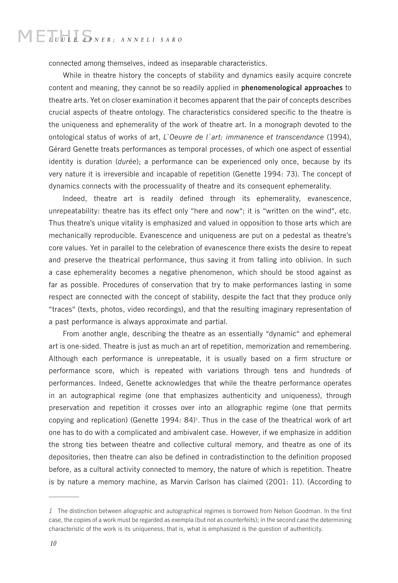## MELUULE EPNER; ANNELI SARO

connected among themselves, indeed as inseparable characteristics.

While in theatre history the concepts of stability and dynamics easily acquire concrete content and meaning, they cannot be so readily applied in **phenomenological approaches** to theatre arts. Yet on closer examination it becomes apparent that the pair of concepts describes crucial aspects of theatre ontology. The characteristics considered specific to the theatre is the uniqueness and ephemerality of the work of theatre art. In a monograph devoted to the ontological status of works of art, *L`Oeuvre de l`art: immanence et transcendance* (1994), Gérard Genette treats performances as temporal processes, of which one aspect of essential identity is duration (*durée*); a performance can be experienced only once, because by its very nature it is irreversible and incapable of repetition (Genette 1994: 73). The concept of dynamics connects with the processuality of theatre and its consequent ephemerality.

Indeed, theatre art is readily defined through its ephemerality, evanescence, unrepeatability: theatre has its effect only "here and now"; it is "written on the wind", etc. Thus theatre's unique vitality is emphasized and valued in opposition to those arts which are mechanically reproducible. Evanescence and uniqueness are put on a pedestal as theatre's core values. Yet in parallel to the celebration of evanescence there exists the desire to repeat and preserve the theatrical performance, thus saving it from falling into oblivion. In such a case ephemerality becomes a negative phenomenon, which should be stood against as far as possible. Procedures of conservation that try to make performances lasting in some respect are connected with the concept of stability, despite the fact that they produce only "traces" (texts, photos, video recordings), and that the resulting imaginary representation of a past performance is always approximate and partial.

From another angle, describing the theatre as an essentially "dynamic" and ephemeral art is one-sided. Theatre is just as much an art of repetition, memorization and remembering. Although each performance is unrepeatable, it is usually based on a firm structure or performance score, which is repeated with variations through tens and hundreds of performances. Indeed, Genette acknowledges that while the theatre performance operates in an autographical regime (one that emphasizes authenticity and uniqueness), through preservation and repetition it crosses over into an allographic regime (one that permits copying and replication) (Genette 1994: 84)<sup>1</sup>. Thus in the case of the theatrical work of art one has to do with a complicated and ambivalent case. However, if we emphasize in addition the strong ties between theatre and collective cultural memory, and theatre as one of its depositories, then theatre can also be defined in contradistinction to the definition proposed before, as a cultural activity connected to memory, the nature of which is repetition. Theatre is by nature a memory machine, as Marvin Carlson has claimed (2001: 11). (According to

*<sup>1</sup>* The distinction between allographic and autographical regimes is borrowed from Nelson Goodman. In the first case, the copies of a work must be regarded as exempla (but not as counterfeits); in the second case the determining characteristic of the work is its uniqueness, that is, what is emphasized is the question of authenticity.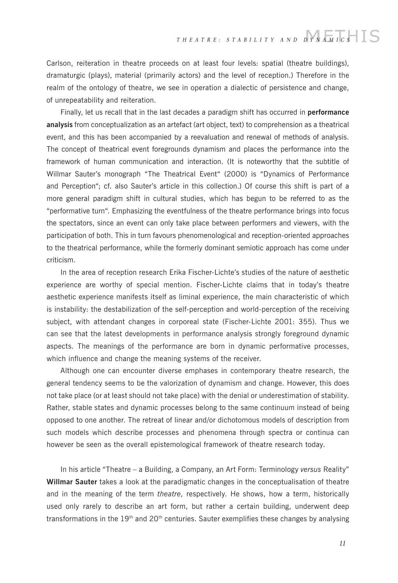Carlson, reiteration in theatre proceeds on at least four levels: spatial (theatre buildings), dramaturgic (plays), material (primarily actors) and the level of reception.) Therefore in the realm of the ontology of theatre, we see in operation a dialectic of persistence and change, of unrepeatability and reiteration.

Finally, let us recall that in the last decades a paradigm shift has occurred in **performance analysis** from conceptualization as an artefact (art object, text) to comprehension as a theatrical event, and this has been accompanied by a reevaluation and renewal of methods of analysis. The concept of theatrical event foregrounds dynamism and places the performance into the framework of human communication and interaction. (It is noteworthy that the subtitle of Willmar Sauter's monograph "The Theatrical Event" (2000) is "Dynamics of Performance and Perception"; cf. also Sauter's article in this collection.) Of course this shift is part of a more general paradigm shift in cultural studies, which has begun to be referred to as the "performative turn". Emphasizing the eventfulness of the theatre performance brings into focus the spectators, since an event can only take place between performers and viewers, with the participation of both. This in turn favours phenomenological and reception-oriented approaches to the theatrical performance, while the formerly dominant semiotic approach has come under criticism.

In the area of reception research Erika Fischer-Lichte's studies of the nature of aesthetic experience are worthy of special mention. Fischer-Lichte claims that in today's theatre aesthetic experience manifests itself as liminal experience, the main characteristic of which is instability: the destabilization of the self-perception and world-perception of the receiving subject, with attendant changes in corporeal state (Fischer-Lichte 2001: 355). Thus we can see that the latest developments in performance analysis strongly foreground dynamic aspects. The meanings of the performance are born in dynamic performative processes, which influence and change the meaning systems of the receiver.

Although one can encounter diverse emphases in contemporary theatre research, the general tendency seems to be the valorization of dynamism and change. However, this does not take place (or at least should not take place) with the denial or underestimation of stability. Rather, stable states and dynamic processes belong to the same continuum instead of being opposed to one another. The retreat of linear and/or dichotomous models of description from such models which describe processes and phenomena through spectra or continua can however be seen as the overall epistemological framework of theatre research today.

In his article "Theatre – a Building, a Company, an Art Form: Terminology *versus* Reality" **Willmar Sauter** takes a look at the paradigmatic changes in the conceptualisation of theatre and in the meaning of the term *theatre*, respectively. He shows, how a term, historically used only rarely to describe an art form, but rather a certain building, underwent deep transformations in the 19<sup>th</sup> and 20<sup>th</sup> centuries. Sauter exemplifies these changes by analysing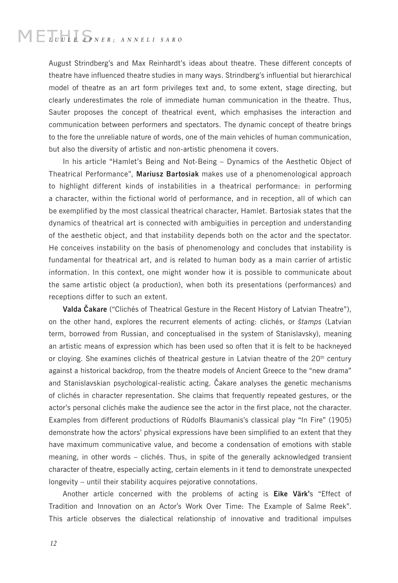# $\mathbb{M} \mathbb{E} \mathbb{T}_{\mathit{U}} \mathbb{E} \mathbb{E} \mathbb{E}_{\mathit{PNER} ; \; \; \mathit{ANNELI} \; \; \mathit{SARO}}$

August Strindberg's and Max Reinhardt's ideas about theatre. These different concepts of theatre have influenced theatre studies in many ways. Strindberg's influential but hierarchical model of theatre as an art form privileges text and, to some extent, stage directing, but clearly underestimates the role of immediate human communication in the theatre. Thus, Sauter proposes the concept of theatrical event, which emphasises the interaction and communication between performers and spectators. The dynamic concept of theatre brings to the fore the unreliable nature of words, one of the main vehicles of human communication, but also the diversity of artistic and non-artistic phenomena it covers.

In his article "Hamlet's Being and Not-Being – Dynamics of the Aesthetic Object of Theatrical Performance", **Mariusz Bartosiak** makes use of a phenomenological approach to highlight different kinds of instabilities in a theatrical performance: in performing a character, within the fictional world of performance, and in reception, all of which can be exemplified by the most classical theatrical character, Hamlet. Bartosiak states that the dynamics of theatrical art is connected with ambiguities in perception and understanding of the aesthetic object, and that instability depends both on the actor and the spectator. He conceives instability on the basis of phenomenology and concludes that instability is fundamental for theatrical art, and is related to human body as a main carrier of artistic information. In this context, one might wonder how it is possible to communicate about the same artistic object (a production), when both its presentations (performances) and receptions differ to such an extent.

**Valda Čakare** ("Clichés of Theatrical Gesture in the Recent History of Latvian Theatre"), on the other hand, explores the recurrent elements of acting: clichés, or *štamps* (Latvian term, borrowed from Russian, and conceptualised in the system of Stanislavsky), meaning an artistic means of expression which has been used so often that it is felt to be hackneyed or cloying. She examines clichés of theatrical gesture in Latvian theatre of the 20<sup>th</sup> century against a historical backdrop, from the theatre models of Ancient Greece to the "new drama" and Stanislavskian psychological-realistic acting. Čakare analyses the genetic mechanisms of clichés in character representation. She claims that frequently repeated gestures, or the actor's personal clichés make the audience see the actor in the first place, not the character. Examples from different productions of Rūdolfs Blaumanis's classical play "In Fire" (1905) demonstrate how the actors' physical expressions have been simplified to an extent that they have maximum communicative value, and become a condensation of emotions with stable meaning, in other words – clichés. Thus, in spite of the generally acknowledged transient character of theatre, especially acting, certain elements in it tend to demonstrate unexpected longevity – until their stability acquires pejorative connotations.

Another article concerned with the problems of acting is **Eike Värk'**s "Effect of Tradition and Innovation on an Actor's Work Over Time: The Example of Salme Reek". This article observes the dialectical relationship of innovative and traditional impulses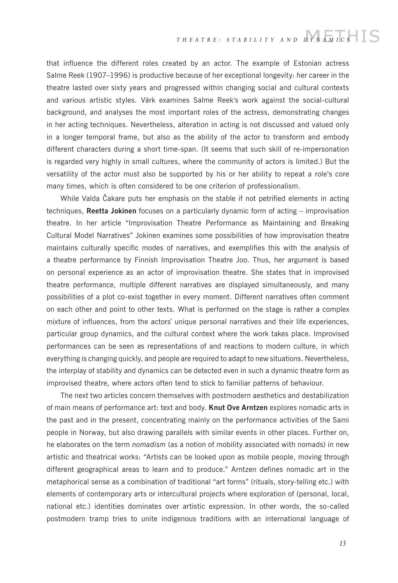### THEATRE: STABILITY AND DYNAMICS<sup>-</sup>

that influence the different roles created by an actor. The example of Estonian actress Salme Reek (1907–1996) is productive because of her exceptional longevity: her career in the theatre lasted over sixty years and progressed within changing social and cultural contexts and various artistic styles. Värk examines Salme Reek's work against the social-cultural background, and analyses the most important roles of the actress, demonstrating changes in her acting techniques. Nevertheless, alteration in acting is not discussed and valued only in a longer temporal frame, but also as the ability of the actor to transform and embody different characters during a short time-span. (It seems that such skill of re-impersonation is regarded very highly in small cultures, where the community of actors is limited.) But the versatility of the actor must also be supported by his or her ability to repeat a role's core many times, which is often considered to be one criterion of professionalism.

While Valda Čakare puts her emphasis on the stable if not petrified elements in acting techniques, **Reetta Jokinen** focuses on a particularly dynamic form of acting – improvisation theatre. In her article "Improvisation Theatre Performance as Maintaining and Breaking Cultural Model Narratives" Jokinen examines some possibilities of how improvisation theatre maintains culturally specific modes of narratives, and exemplifies this with the analysis of a theatre performance by Finnish Improvisation Theatre Joo. Thus, her argument is based on personal experience as an actor of improvisation theatre. She states that in improvised theatre performance, multiple different narratives are displayed simultaneously, and many possibilities of a plot co-exist together in every moment. Different narratives often comment on each other and point to other texts. What is performed on the stage is rather a complex mixture of influences, from the actors' unique personal narratives and their life experiences, particular group dynamics, and the cultural context where the work takes place. Improvised performances can be seen as representations of and reactions to modern culture, in which everything is changing quickly, and people are required to adapt to new situations. Nevertheless, the interplay of stability and dynamics can be detected even in such a dynamic theatre form as improvised theatre, where actors often tend to stick to familiar patterns of behaviour.

The next two articles concern themselves with postmodern aesthetics and destabilization of main means of performance art: text and body. **Knut Ove Arntzen** explores nomadic arts in the past and in the present, concentrating mainly on the performance activities of the Sami people in Norway, but also drawing parallels with similar events in other places. Further on, he elaborates on the term *nomadism* (as a notion of mobility associated with nomads) in new artistic and theatrical works: "Artists can be looked upon as mobile people, moving through different geographical areas to learn and to produce." Arntzen defines nomadic art in the metaphorical sense as a combination of traditional "art forms" (rituals, story-telling etc.) with elements of contemporary arts or intercultural projects where exploration of (personal, local, national etc.) identities dominates over artistic expression. In other words, the so-called postmodern tramp tries to unite indigenous traditions with an international language of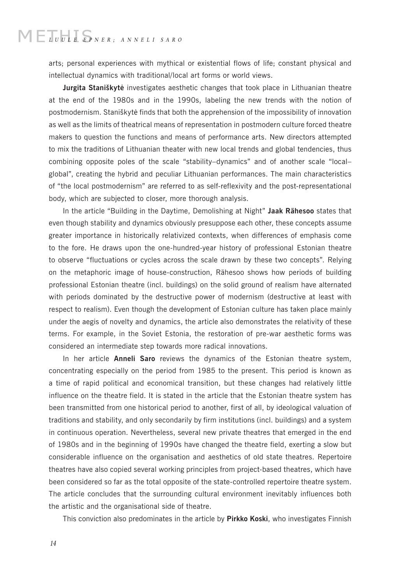# $\mathbb{M} \mathbb{E} \mathbb{T}_{\mathit{U}} \mathbb{E} \mathbb{E} \mathbb{E}_{\mathit{PNER} ; \; \; \mathit{ANNELI} \; \; \mathit{SARO}}$

arts; personal experiences with mythical or existential flows of life; constant physical and intellectual dynamics with traditional/local art forms or world views.

**Jurgita Staniškytė** investigates aesthetic changes that took place in Lithuanian theatre at the end of the 1980s and in the 1990s, labeling the new trends with the notion of postmodernism. Staniškytė finds that both the apprehension of the impossibility of innovation as well as the limits of theatrical means of representation in postmodern culture forced theatre makers to question the functions and means of performance arts. New directors attempted to mix the traditions of Lithuanian theater with new local trends and global tendencies, thus combining opposite poles of the scale "stability–dynamics" and of another scale "local– global", creating the hybrid and peculiar Lithuanian performances. The main characteristics of "the local postmodernism" are referred to as self-reflexivity and the post-representational body, which are subjected to closer, more thorough analysis.

In the article "Building in the Daytime, Demolishing at Night" **Jaak Rähesoo** states that even though stability and dynamics obviously presuppose each other, these concepts assume greater importance in historically relativized contexts, when differences of emphasis come to the fore. He draws upon the one-hundred-year history of professional Estonian theatre to observe "fluctuations or cycles across the scale drawn by these two concepts". Relying on the metaphoric image of house-construction, Rähesoo shows how periods of building professional Estonian theatre (incl. buildings) on the solid ground of realism have alternated with periods dominated by the destructive power of modernism (destructive at least with respect to realism). Even though the development of Estonian culture has taken place mainly under the aegis of novelty and dynamics, the article also demonstrates the relativity of these terms. For example, in the Soviet Estonia, the restoration of pre-war aesthetic forms was considered an intermediate step towards more radical innovations.

In her article **Anneli Saro** reviews the dynamics of the Estonian theatre system, concentrating especially on the period from 1985 to the present. This period is known as a time of rapid political and economical transition, but these changes had relatively little influence on the theatre field. It is stated in the article that the Estonian theatre system has been transmitted from one historical period to another, first of all, by ideological valuation of traditions and stability, and only secondarily by firm institutions (incl. buildings) and a system in continuous operation. Nevertheless, several new private theatres that emerged in the end of 1980s and in the beginning of 1990s have changed the theatre field, exerting a slow but considerable influence on the organisation and aesthetics of old state theatres. Repertoire theatres have also copied several working principles from project-based theatres, which have been considered so far as the total opposite of the state-controlled repertoire theatre system. The article concludes that the surrounding cultural environment inevitably influences both the artistic and the organisational side of theatre.

This conviction also predominates in the article by **Pirkko Koski**, who investigates Finnish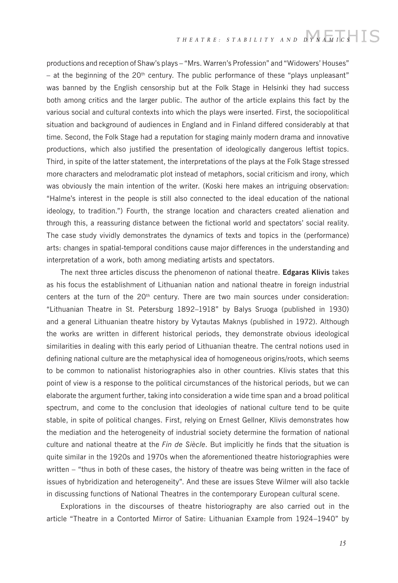### THEATRE: STABILITY AND DYNAMICS S

productions and reception of Shaw's plays – "Mrs. Warren's Profession" and "Widowers' Houses" – at the beginning of the  $20<sup>th</sup>$  century. The public performance of these "plays unpleasant" was banned by the English censorship but at the Folk Stage in Helsinki they had success both among critics and the larger public. The author of the article explains this fact by the various social and cultural contexts into which the plays were inserted. First, the sociopolitical situation and background of audiences in England and in Finland differed considerably at that time. Second, the Folk Stage had a reputation for staging mainly modern drama and innovative productions, which also justified the presentation of ideologically dangerous leftist topics. Third, in spite of the latter statement, the interpretations of the plays at the Folk Stage stressed more characters and melodramatic plot instead of metaphors, social criticism and irony, which was obviously the main intention of the writer. (Koski here makes an intriguing observation: "Halme's interest in the people is still also connected to the ideal education of the national ideology, to tradition.") Fourth, the strange location and characters created alienation and through this, a reassuring distance between the fictional world and spectators' social reality. The case study vividly demonstrates the dynamics of texts and topics in the (performance) arts: changes in spatial-temporal conditions cause major differences in the understanding and interpretation of a work, both among mediating artists and spectators.

The next three articles discuss the phenomenon of national theatre. **Edgaras Klivis** takes as his focus the establishment of Lithuanian nation and national theatre in foreign industrial centers at the turn of the  $20<sup>th</sup>$  century. There are two main sources under consideration: "Lithuanian Theatre in St. Petersburg 1892–1918" by Balys Sruoga (published in 1930) and a general Lithuanian theatre history by Vytautas Maknys (published in 1972). Although the works are written in different historical periods, they demonstrate obvious ideological similarities in dealing with this early period of Lithuanian theatre. The central notions used in defining national culture are the metaphysical idea of homogeneous origins/roots, which seems to be common to nationalist historiographies also in other countries. Klivis states that this point of view is a response to the political circumstances of the historical periods, but we can elaborate the argument further, taking into consideration a wide time span and a broad political spectrum, and come to the conclusion that ideologies of national culture tend to be quite stable, in spite of political changes. First, relying on Ernest Gellner, Klivis demonstrates how the mediation and the heterogeneity of industrial society determine the formation of national culture and national theatre at the *Fin de Siècle*. But implicitly he finds that the situation is quite similar in the 1920s and 1970s when the aforementioned theatre historiographies were written – "thus in both of these cases, the history of theatre was being written in the face of issues of hybridization and heterogeneity". And these are issues Steve Wilmer will also tackle in discussing functions of National Theatres in the contemporary European cultural scene.

Explorations in the discourses of theatre historiography are also carried out in the article "Theatre in a Contorted Mirror of Satire: Lithuanian Example from 1924–1940" by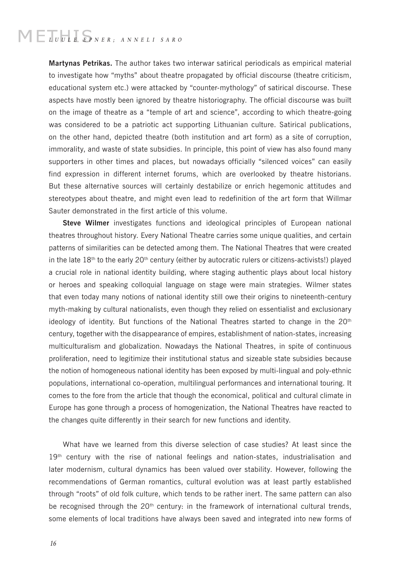# $\begin{array}{l} \begin{array}{c} \begin{array}{c} \end{array} \\ \begin{array}{c} \end{array} \\ \begin{array}{c} \end{array} \\ \begin{array}{c} \end{array} \\ \begin{array}{c} \end{array} \\ \begin{array}{c} \end{array} \\ \begin{array}{c} \end{array} \\ \begin{array}{c} \end{array} \\ \begin{array}{c} \end{array} \\ \begin{array}{c} \end{array} \\ \begin{array}{c} \end{array} \\ \begin{array}{c} \end{array} \\ \begin{array}{c} \end{array} \\ \begin{array}{c} \end{array} \\ \begin{array}{c} \end{array} \\ \begin{array}{c} \end{array$

**Martynas Petrikas.** The author takes two interwar satirical periodicals as empirical material to investigate how "myths" about theatre propagated by official discourse (theatre criticism, educational system etc.) were attacked by "counter-mythology" of satirical discourse. These aspects have mostly been ignored by theatre historiography. The official discourse was built on the image of theatre as a "temple of art and science", according to which theatre-going was considered to be a patriotic act supporting Lithuanian culture. Satirical publications, on the other hand, depicted theatre (both institution and art form) as a site of corruption, immorality, and waste of state subsidies. In principle, this point of view has also found many supporters in other times and places, but nowadays officially "silenced voices" can easily find expression in different internet forums, which are overlooked by theatre historians. But these alternative sources will certainly destabilize or enrich hegemonic attitudes and stereotypes about theatre, and might even lead to redefinition of the art form that Willmar Sauter demonstrated in the first article of this volume.

**Steve Wilmer** investigates functions and ideological principles of European national theatres throughout history. Every National Theatre carries some unique qualities, and certain patterns of similarities can be detected among them. The National Theatres that were created in the late  $18<sup>th</sup>$  to the early 20<sup>th</sup> century (either by autocratic rulers or citizens-activists!) played a crucial role in national identity building, where staging authentic plays about local history or heroes and speaking colloquial language on stage were main strategies. Wilmer states that even today many notions of national identity still owe their origins to nineteenth-century myth-making by cultural nationalists, even though they relied on essentialist and exclusionary ideology of identity. But functions of the National Theatres started to change in the  $20<sup>th</sup>$ century, together with the disappearance of empires, establishment of nation-states, increasing multiculturalism and globalization. Nowadays the National Theatres, in spite of continuous proliferation, need to legitimize their institutional status and sizeable state subsidies because the notion of homogeneous national identity has been exposed by multi-lingual and poly-ethnic populations, international co-operation, multilingual performances and international touring. It comes to the fore from the article that though the economical, political and cultural climate in Europe has gone through a process of homogenization, the National Theatres have reacted to the changes quite differently in their search for new functions and identity.

What have we learned from this diverse selection of case studies? At least since the 19<sup>th</sup> century with the rise of national feelings and nation-states, industrialisation and later modernism, cultural dynamics has been valued over stability. However, following the recommendations of German romantics, cultural evolution was at least partly established through "roots" of old folk culture, which tends to be rather inert. The same pattern can also be recognised through the  $20<sup>th</sup>$  century: in the framework of international cultural trends, some elements of local traditions have always been saved and integrated into new forms of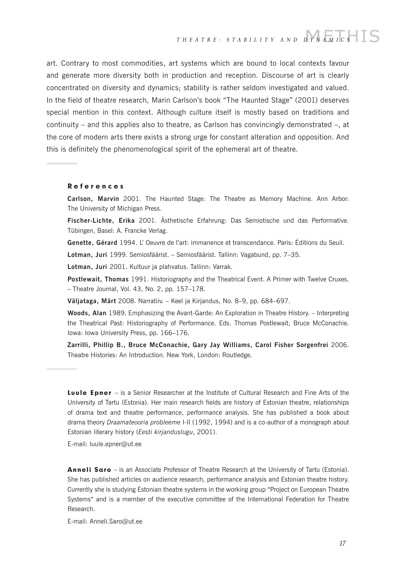art. Contrary to most commodities, art systems which are bound to local contexts favour and generate more diversity both in production and reception. Discourse of art is clearly concentrated on diversity and dynamics; stability is rather seldom investigated and valued. In the field of theatre research, Marin Carlson's book "The Haunted Stage" (2001) deserves special mention in this context. Although culture itself is mostly based on traditions and continuity – and this applies also to theatre, as Carlson has convincingly demonstrated –, at the core of modern arts there exists a strong urge for constant alteration and opposition. And this is definitely the phenomenological spirit of the ephemeral art of theatre.

#### References

**Carlson, Marvin** 2001. The Haunted Stage: The Theatre as Memory Machine. Ann Arbor: The University of Michigan Press.

**Fischer-Lichte, Erika** 2001. Ästhetische Erfahrung: Das Semiotische und das Performative. Tübingen, Basel: A. Francke Verlag.

**Genette, Gérard** 1994. L' Oeuvre de l'art: immanence et transcendance. Paris: Éditions du Seuil.

**Lotman, Juri** 1999. Semiosfäärist. – Semiosfäärist. Tallinn: Vagabund, pp. 7–35.

**Lotman, Juri** 2001. Kultuur ja plahvatus. Tallinn: Varrak.

**Postlewait, Thomas** 1991. Historiography and the Theatrical Event. A Primer with Twelve Cruxes. – Theatre Journal, Vol. 43, No. 2, pp. 157–178.

**Väljataga, Märt** 2008. Narratiiv. – Keel ja Kirjandus, No. 8–9, pp. 684–697.

**Woods, Alan** 1989. Emphasizing the Avant-Garde: An Exploration in Theatre History. – Interpreting the Theatrical Past: Historiography of Performance. Eds. Thomas Postlewait, Bruce McConachie. Iowa: Iowa University Press, pp. 166–176.

**Zarrilli, Phillip B., Bruce McConachie, Gary Jay Williams, Carol Fisher Sorgenfrei** 2006. Theatre Histories: An Introduction. New York, London: Routledge.

Luule Epner – is a Senior Researcher at the Institute of Cultural Research and Fine Arts of the University of Tartu (Estonia). Her main research fields are history of Estonian theatre, relationships of drama text and theatre performance, performance analysis. She has published a book about drama theory *Draamateooria probleeme* I-II (1992, 1994) and is a co-author of a monograph about Estonian literary history (*Eesti kirjanduslugu*, 2001).

E-mail: luule.epner@ut.ee

Anneli Saro - is an Associate Professor of Theatre Research at the University of Tartu (Estonia). She has published articles on audience research, performance analysis and Estonian theatre history. Currently she is studying Estonian theatre systems in the working group "Project on European Theatre Systems" and is a member of the executive committee of the International Federation for Theatre Research.

E-mail: Anneli.Saro@ut.ee